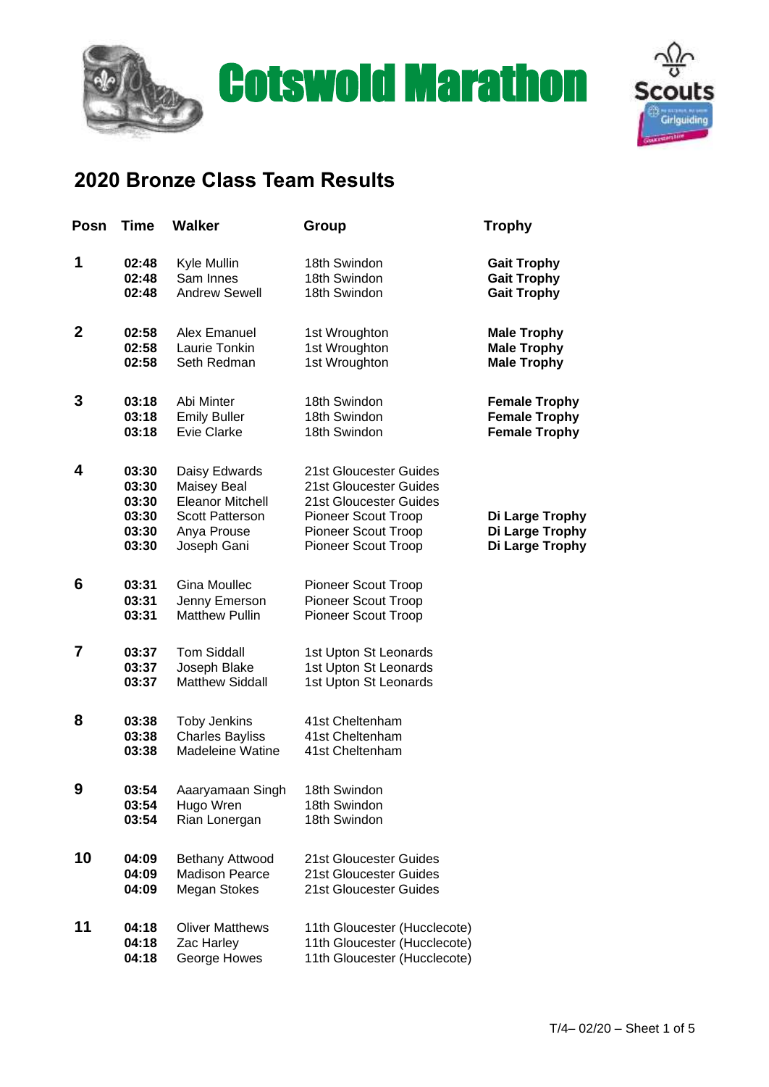



## **2020 Bronze Class Team Results**

| Posn         | <b>Time</b>                                        | <b>Walker</b>                                                                                                   | Group                                                                                                                                                  | <b>Trophy</b>                                                        |
|--------------|----------------------------------------------------|-----------------------------------------------------------------------------------------------------------------|--------------------------------------------------------------------------------------------------------------------------------------------------------|----------------------------------------------------------------------|
| 1            | 02:48<br>02:48<br>02:48                            | Kyle Mullin<br>Sam Innes<br><b>Andrew Sewell</b>                                                                | 18th Swindon<br>18th Swindon<br>18th Swindon                                                                                                           | <b>Gait Trophy</b><br><b>Gait Trophy</b><br><b>Gait Trophy</b>       |
| $\mathbf{2}$ | 02:58<br>02:58<br>02:58                            | Alex Emanuel<br>Laurie Tonkin<br>Seth Redman                                                                    | 1st Wroughton<br>1st Wroughton<br>1st Wroughton                                                                                                        | <b>Male Trophy</b><br><b>Male Trophy</b><br><b>Male Trophy</b>       |
| 3            | 03:18<br>03:18<br>03:18                            | Abi Minter<br><b>Emily Buller</b><br>Evie Clarke                                                                | 18th Swindon<br>18th Swindon<br>18th Swindon                                                                                                           | <b>Female Trophy</b><br><b>Female Trophy</b><br><b>Female Trophy</b> |
| 4            | 03:30<br>03:30<br>03:30<br>03:30<br>03:30<br>03:30 | Daisy Edwards<br>Maisey Beal<br><b>Eleanor Mitchell</b><br><b>Scott Patterson</b><br>Anya Prouse<br>Joseph Gani | 21st Gloucester Guides<br>21st Gloucester Guides<br>21st Gloucester Guides<br><b>Pioneer Scout Troop</b><br>Pioneer Scout Troop<br>Pioneer Scout Troop | Di Large Trophy<br>Di Large Trophy<br>Di Large Trophy                |
| 6            | 03:31<br>03:31<br>03:31                            | <b>Gina Moullec</b><br>Jenny Emerson<br><b>Matthew Pullin</b>                                                   | <b>Pioneer Scout Troop</b><br>Pioneer Scout Troop<br><b>Pioneer Scout Troop</b>                                                                        |                                                                      |
| 7            | 03:37<br>03:37<br>03:37                            | <b>Tom Siddall</b><br>Joseph Blake<br><b>Matthew Siddall</b>                                                    | 1st Upton St Leonards<br>1st Upton St Leonards<br>1st Upton St Leonards                                                                                |                                                                      |
| 8            | 03:38<br>03:38<br>03:38                            | <b>Toby Jenkins</b><br><b>Charles Bayliss</b><br><b>Madeleine Watine</b>                                        | 41st Cheltenham<br>41st Cheltenham<br>41st Cheltenham                                                                                                  |                                                                      |
| 9            | 03:54<br>03:54<br>03:54                            | Aaaryamaan Singh<br>Hugo Wren<br>Rian Lonergan                                                                  | 18th Swindon<br>18th Swindon<br>18th Swindon                                                                                                           |                                                                      |
| 10           | 04:09<br>04:09<br>04:09                            | Bethany Attwood<br><b>Madison Pearce</b><br><b>Megan Stokes</b>                                                 | 21st Gloucester Guides<br>21st Gloucester Guides<br>21st Gloucester Guides                                                                             |                                                                      |
| 11           | 04:18<br>04:18<br>04:18                            | <b>Oliver Matthews</b><br>Zac Harley<br>George Howes                                                            | 11th Gloucester (Hucclecote)<br>11th Gloucester (Hucclecote)<br>11th Gloucester (Hucclecote)                                                           |                                                                      |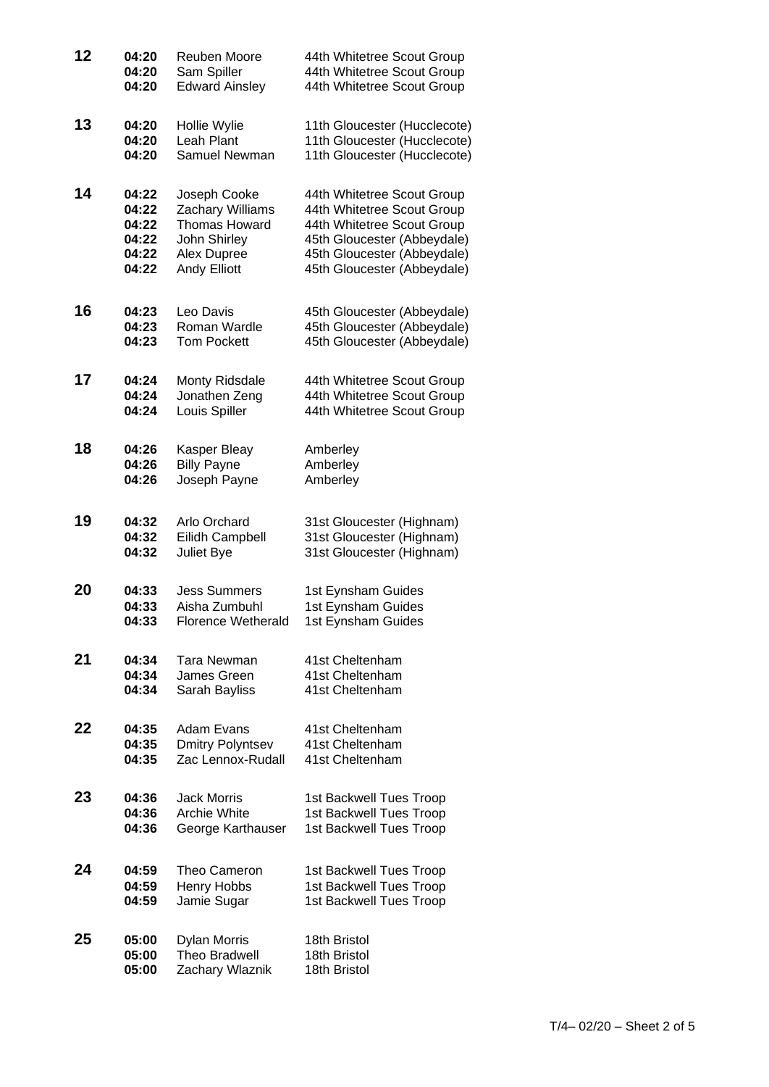| 12 | 04:20 | <b>Reuben Moore</b>       | 44th Whitetree Scout Group   |
|----|-------|---------------------------|------------------------------|
|    | 04:20 | Sam Spiller               | 44th Whitetree Scout Group   |
|    | 04:20 | <b>Edward Ainsley</b>     | 44th Whitetree Scout Group   |
| 13 | 04:20 | Hollie Wylie              | 11th Gloucester (Hucclecote) |
|    | 04:20 | Leah Plant                | 11th Gloucester (Hucclecote) |
|    | 04:20 | Samuel Newman             | 11th Gloucester (Hucclecote) |
| 14 | 04:22 | Joseph Cooke              | 44th Whitetree Scout Group   |
|    | 04:22 | Zachary Williams          | 44th Whitetree Scout Group   |
|    | 04:22 | Thomas Howard             | 44th Whitetree Scout Group   |
|    | 04:22 | John Shirley              | 45th Gloucester (Abbeydale)  |
|    | 04:22 | Alex Dupree               | 45th Gloucester (Abbeydale)  |
|    | 04:22 | <b>Andy Elliott</b>       | 45th Gloucester (Abbeydale)  |
| 16 | 04:23 | Leo Davis                 | 45th Gloucester (Abbeydale)  |
|    | 04:23 | Roman Wardle              | 45th Gloucester (Abbeydale)  |
|    | 04:23 | <b>Tom Pockett</b>        | 45th Gloucester (Abbeydale)  |
| 17 | 04:24 | Monty Ridsdale            | 44th Whitetree Scout Group   |
|    | 04:24 | Jonathen Zeng             | 44th Whitetree Scout Group   |
|    | 04:24 | Louis Spiller             | 44th Whitetree Scout Group   |
| 18 | 04:26 | Kasper Bleay              | Amberley                     |
|    | 04:26 | <b>Billy Payne</b>        | Amberley                     |
|    | 04:26 | Joseph Payne              | Amberley                     |
| 19 | 04:32 | Arlo Orchard              | 31st Gloucester (Highnam)    |
|    | 04:32 | Eilidh Campbell           | 31st Gloucester (Highnam)    |
|    | 04:32 | Juliet Bye                | 31st Gloucester (Highnam)    |
| 20 | 04:33 | <b>Jess Summers</b>       | 1st Eynsham Guides           |
|    | 04:33 | Aisha Zumbuhl             | 1st Eynsham Guides           |
|    | 04:33 | <b>Florence Wetherald</b> | 1st Eynsham Guides           |
| 21 | 04:34 | Tara Newman               | 41st Cheltenham              |
|    | 04:34 | James Green               | 41st Cheltenham              |
|    | 04:34 | Sarah Bayliss             | 41st Cheltenham              |
| 22 | 04:35 | Adam Evans                | 41st Cheltenham              |
|    | 04:35 | <b>Dmitry Polyntsev</b>   | 41st Cheltenham              |
|    | 04:35 | Zac Lennox-Rudall         | 41st Cheltenham              |
| 23 | 04:36 | <b>Jack Morris</b>        | 1st Backwell Tues Troop      |
|    | 04:36 | Archie White              | 1st Backwell Tues Troop      |
|    | 04:36 | George Karthauser         | 1st Backwell Tues Troop      |
| 24 | 04:59 | Theo Cameron              | 1st Backwell Tues Troop      |
|    | 04:59 | Henry Hobbs               | 1st Backwell Tues Troop      |
|    | 04:59 | Jamie Sugar               | 1st Backwell Tues Troop      |
| 25 | 05:00 | <b>Dylan Morris</b>       | 18th Bristol                 |
|    | 05:00 | <b>Theo Bradwell</b>      | 18th Bristol                 |
|    | 05:00 | Zachary Wlaznik           | 18th Bristol                 |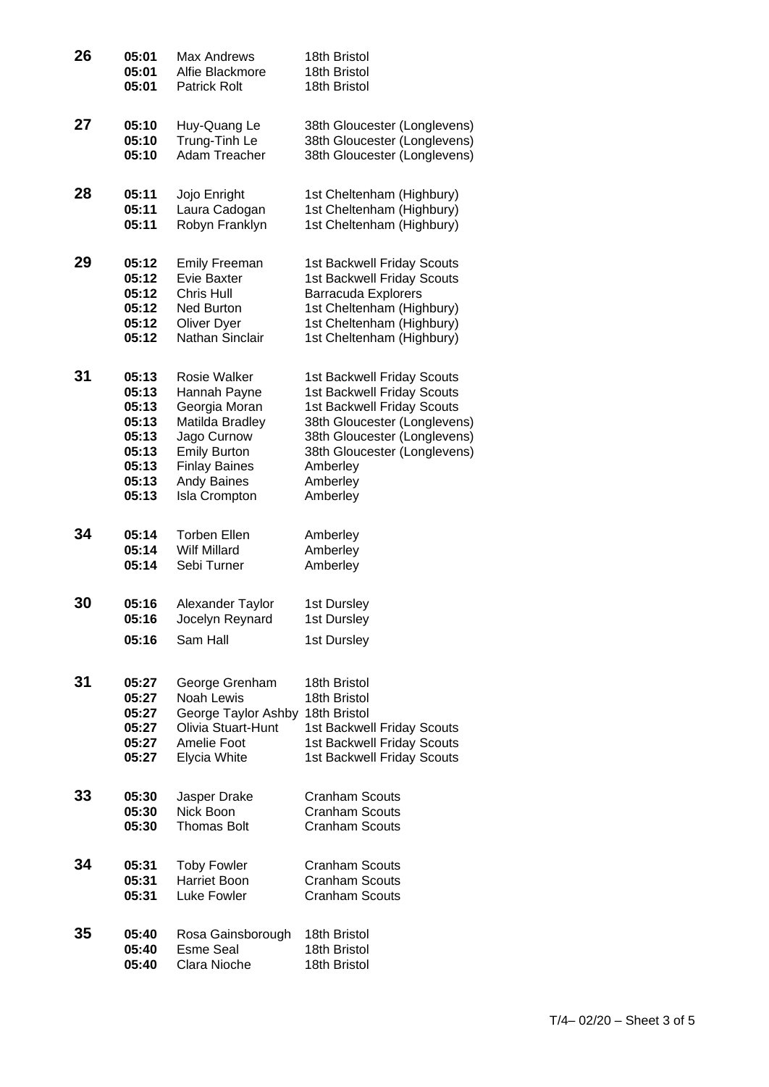| 26 | 05:01 | <b>Max Andrews</b>   | 18th Bristol                 |
|----|-------|----------------------|------------------------------|
|    | 05:01 | Alfie Blackmore      | 18th Bristol                 |
|    | 05:01 | <b>Patrick Rolt</b>  | 18th Bristol                 |
| 27 | 05:10 | Huy-Quang Le         | 38th Gloucester (Longlevens) |
|    | 05:10 | Trung-Tinh Le        | 38th Gloucester (Longlevens) |
|    | 05:10 | <b>Adam Treacher</b> | 38th Gloucester (Longlevens) |
| 28 | 05:11 | Jojo Enright         | 1st Cheltenham (Highbury)    |
|    | 05:11 | Laura Cadogan        | 1st Cheltenham (Highbury)    |
|    | 05:11 | Robyn Franklyn       | 1st Cheltenham (Highbury)    |
| 29 | 05:12 | <b>Emily Freeman</b> | 1st Backwell Friday Scouts   |
|    | 05:12 | <b>Evie Baxter</b>   | 1st Backwell Friday Scouts   |
|    | 05:12 | Chris Hull           | <b>Barracuda Explorers</b>   |
|    | 05:12 | <b>Ned Burton</b>    | 1st Cheltenham (Highbury)    |
|    | 05:12 | <b>Oliver Dyer</b>   | 1st Cheltenham (Highbury)    |
|    | 05:12 | Nathan Sinclair      | 1st Cheltenham (Highbury)    |
| 31 | 05:13 | <b>Rosie Walker</b>  | 1st Backwell Friday Scouts   |
|    | 05:13 | Hannah Payne         | 1st Backwell Friday Scouts   |
|    | 05:13 | Georgia Moran        | 1st Backwell Friday Scouts   |
|    | 05:13 | Matilda Bradley      | 38th Gloucester (Longlevens) |
|    | 05:13 | Jago Curnow          | 38th Gloucester (Longlevens) |
|    | 05:13 | <b>Emily Burton</b>  | 38th Gloucester (Longlevens) |
|    | 05:13 | <b>Finlay Baines</b> | Amberley                     |
|    | 05:13 | Andy Baines          | Amberley                     |
|    | 05:13 | <b>Isla Crompton</b> | Amberley                     |
| 34 | 05:14 | <b>Torben Ellen</b>  | Amberley                     |
|    | 05:14 | <b>Wilf Millard</b>  | Amberley                     |
|    | 05:14 | Sebi Turner          | Amberley                     |
| 30 | 05:16 | Alexander Taylor     | 1st Dursley                  |
|    | 05:16 | Jocelyn Reynard      | 1st Dursley                  |
|    | 05:16 | Sam Hall             | 1st Dursley                  |
| 31 | 05:27 | George Grenham       | 18th Bristol                 |
|    | 05:27 | Noah Lewis           | 18th Bristol                 |
|    | 05:27 | George Taylor Ashby  | 18th Bristol                 |
|    | 05:27 | Olivia Stuart-Hunt   | 1st Backwell Friday Scouts   |
|    | 05:27 | Amelie Foot          | 1st Backwell Friday Scouts   |
|    | 05:27 | Elycia White         | 1st Backwell Friday Scouts   |
| 33 | 05:30 | Jasper Drake         | <b>Cranham Scouts</b>        |
|    | 05:30 | Nick Boon            | <b>Cranham Scouts</b>        |
|    | 05:30 | <b>Thomas Bolt</b>   | <b>Cranham Scouts</b>        |
| 34 | 05:31 | <b>Toby Fowler</b>   | <b>Cranham Scouts</b>        |
|    | 05:31 | <b>Harriet Boon</b>  | <b>Cranham Scouts</b>        |
|    | 05:31 | Luke Fowler          | <b>Cranham Scouts</b>        |
| 35 | 05:40 | Rosa Gainsborough    | 18th Bristol                 |
|    | 05:40 | <b>Esme Seal</b>     | 18th Bristol                 |
|    | 05:40 | Clara Nioche         | 18th Bristol                 |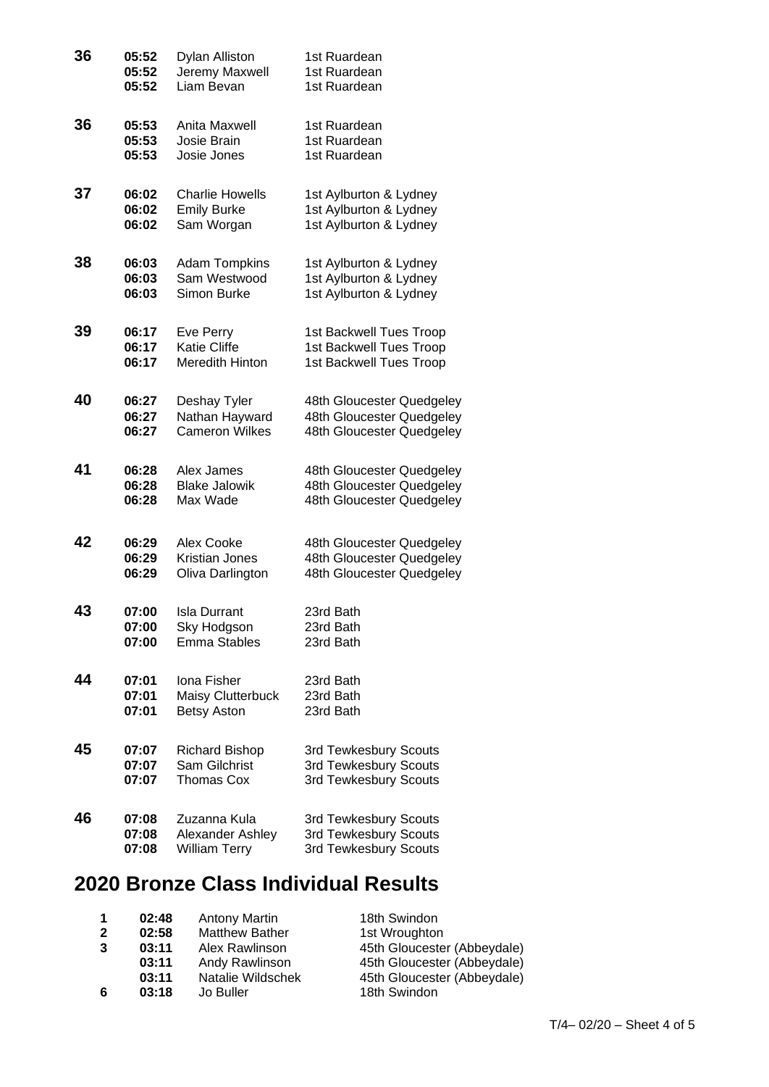| 36 | 05:52 | <b>Dylan Alliston</b>  | 1st Ruardean              |
|----|-------|------------------------|---------------------------|
|    | 05:52 | Jeremy Maxwell         | 1st Ruardean              |
|    | 05:52 | Liam Bevan             | 1st Ruardean              |
| 36 | 05:53 | Anita Maxwell          | 1st Ruardean              |
|    | 05:53 | Josie Brain            | 1st Ruardean              |
|    | 05:53 | Josie Jones            | 1st Ruardean              |
| 37 | 06:02 | <b>Charlie Howells</b> | 1st Aylburton & Lydney    |
|    | 06:02 | <b>Emily Burke</b>     | 1st Aylburton & Lydney    |
|    | 06:02 | Sam Worgan             | 1st Aylburton & Lydney    |
| 38 | 06:03 | <b>Adam Tompkins</b>   | 1st Aylburton & Lydney    |
|    | 06:03 | Sam Westwood           | 1st Aylburton & Lydney    |
|    | 06:03 | Simon Burke            | 1st Aylburton & Lydney    |
| 39 | 06:17 | Eve Perry              | 1st Backwell Tues Troop   |
|    | 06:17 | <b>Katie Cliffe</b>    | 1st Backwell Tues Troop   |
|    | 06:17 | <b>Meredith Hinton</b> | 1st Backwell Tues Troop   |
| 40 | 06:27 | Deshay Tyler           | 48th Gloucester Quedgeley |
|    | 06:27 | Nathan Hayward         | 48th Gloucester Quedgeley |
|    | 06:27 | <b>Cameron Wilkes</b>  | 48th Gloucester Quedgeley |
| 41 | 06:28 | Alex James             | 48th Gloucester Quedgeley |
|    | 06:28 | <b>Blake Jalowik</b>   | 48th Gloucester Quedgeley |
|    | 06:28 | Max Wade               | 48th Gloucester Quedgeley |
| 42 | 06:29 | Alex Cooke             | 48th Gloucester Quedgeley |
|    | 06:29 | Kristian Jones         | 48th Gloucester Quedgeley |
|    | 06:29 | Oliva Darlington       | 48th Gloucester Quedgeley |
| 43 | 07:00 | <b>Isla Durrant</b>    | 23rd Bath                 |
|    | 07:00 | Sky Hodgson            | 23rd Bath                 |
|    | 07:00 | <b>Emma Stables</b>    | 23rd Bath                 |
| 44 | 07:01 | Iona Fisher            | 23rd Bath                 |
|    | 07:01 | Maisy Clutterbuck      | 23rd Bath                 |
|    | 07:01 | <b>Betsy Aston</b>     | 23rd Bath                 |
| 45 | 07:07 | <b>Richard Bishop</b>  | 3rd Tewkesbury Scouts     |
|    | 07:07 | Sam Gilchrist          | 3rd Tewkesbury Scouts     |
|    | 07:07 | Thomas Cox             | 3rd Tewkesbury Scouts     |
| 46 | 07:08 | Zuzanna Kula           | 3rd Tewkesbury Scouts     |
|    | 07:08 | Alexander Ashley       | 3rd Tewkesbury Scouts     |
|    | 07:08 | <b>William Terry</b>   | 3rd Tewkesbury Scouts     |

## **2020 Bronze Class Individual Results**

|                | 02:48 | <b>Antony Martin</b>  | 18th Swindon                |
|----------------|-------|-----------------------|-----------------------------|
| $\overline{2}$ | 02:58 | <b>Matthew Bather</b> | 1st Wroughton               |
| 3              | 03:11 | Alex Rawlinson        | 45th Gloucester (Abbeydale) |
|                | 03:11 | Andy Rawlinson        | 45th Gloucester (Abbeydale) |
|                | 03:11 | Natalie Wildschek     | 45th Gloucester (Abbeydale) |
| 6              | 03:18 | Jo Buller             | 18th Swindon                |